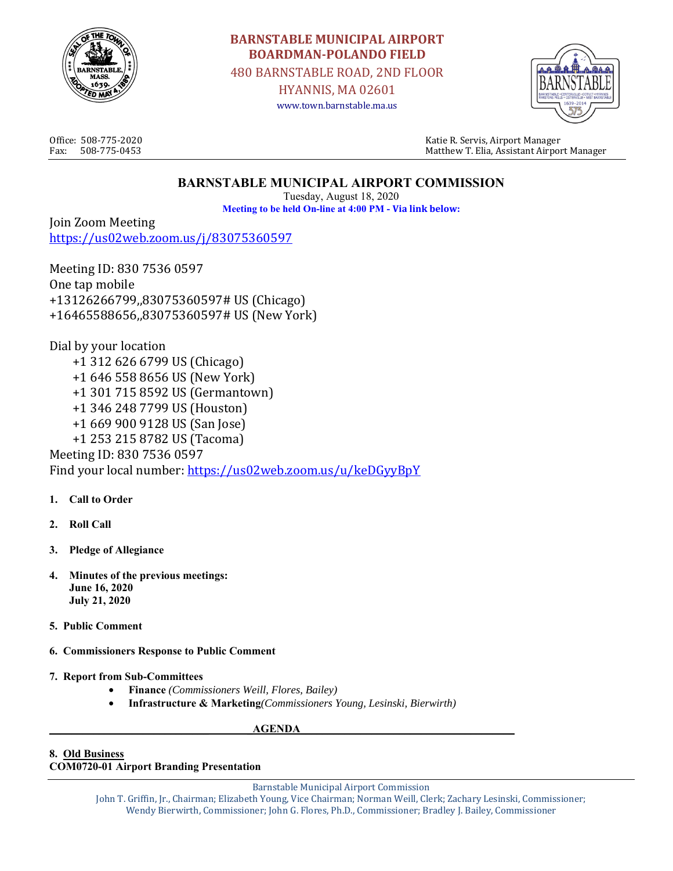

# **BARNSTABLE MUNICIPAL AIRPORT BOARDMAN-POLANDO FIELD**

480 BARNSTABLE ROAD, 2ND FLOOR

HYANNIS, MA 02601 www.town.barnstable.ma.us



Office: 508-775-2020 Katie R. Servis, Airport Manager Fax: 508-775-0453 Matthew T. Elia, Assistant Airport Manager

# **BARNSTABLE MUNICIPAL AIRPORT COMMISSION**

Tuesday, August 18, 2020 **Meeting to be held On-line at 4:00 PM - Via link below:** 

Join Zoom Meeting https://us02web.zoom.us/j/83075360597

Meeting ID: 830 7536 0597 One tap mobile +13126266799,,83075360597# US (Chicago) +16465588656,,83075360597# US (New York)

Dial by your location +1 312 626 6799 US (Chicago) +1 646 558 8656 US (New York) +1 301 715 8592 US (Germantown) +1 346 248 7799 US (Houston) +1 669 900 9128 US (San Jose) +1 253 215 8782 US (Tacoma) Meeting ID: 830 7536 0597 Find your local number: https://us02web.zoom.us/u/keDGyyBpY

- **1. Call to Order**
- **2. Roll Call**
- **3. Pledge of Allegiance**
- **4. Minutes of the previous meetings: June 16, 2020 July 21, 2020**
- **5. Public Comment**
- **6. Commissioners Response to Public Comment**
- **7. Report from Sub-Committees** 
	- **Finance** *(Commissioners Weill, Flores, Bailey)*
	- **Infrastructure & Marketing***(Commissioners Young, Lesinski, Bierwirth)*

## **AGENDA**

#### **8. Old Business COM0720-01 Airport Branding Presentation**

Barnstable Municipal Airport Commission

John T. Griffin, Jr., Chairman; Elizabeth Young, Vice Chairman; Norman Weill, Clerk; Zachary Lesinski, Commissioner; Wendy Bierwirth, Commissioner; John G. Flores, Ph.D., Commissioner; Bradley J. Bailey, Commissioner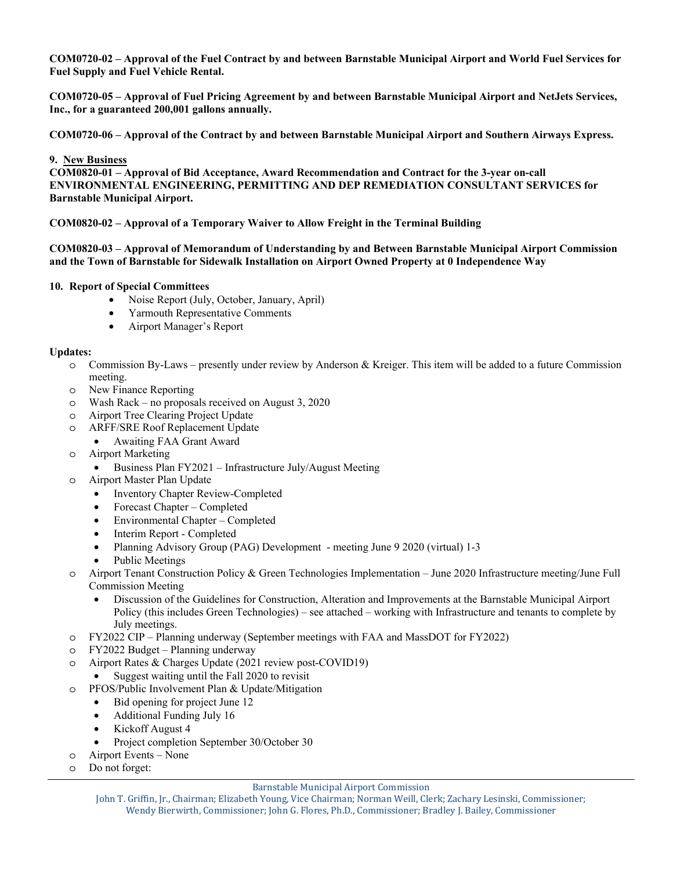**COM0720-02 – Approval of the Fuel Contract by and between Barnstable Municipal Airport and World Fuel Services for Fuel Supply and Fuel Vehicle Rental.** 

**COM0720-05 – Approval of Fuel Pricing Agreement by and between Barnstable Municipal Airport and NetJets Services, Inc., for a guaranteed 200,001 gallons annually.** 

**COM0720-06 – Approval of the Contract by and between Barnstable Municipal Airport and Southern Airways Express.** 

#### **9. New Business**

**COM0820-01 – Approval of Bid Acceptance, Award Recommendation and Contract for the 3-year on-call ENVIRONMENTAL ENGINEERING, PERMITTING AND DEP REMEDIATION CONSULTANT SERVICES for Barnstable Municipal Airport.** 

#### **COM0820-02 – Approval of a Temporary Waiver to Allow Freight in the Terminal Building**

#### **COM0820-03 – Approval of Memorandum of Understanding by and Between Barnstable Municipal Airport Commission and the Town of Barnstable for Sidewalk Installation on Airport Owned Property at 0 Independence Way**

#### **10. Report of Special Committees**

- Noise Report (July, October, January, April)
- Yarmouth Representative Comments
- Airport Manager's Report

#### **Updates:**

- o Commission By-Laws presently under review by Anderson & Kreiger. This item will be added to a future Commission meeting.
- o New Finance Reporting
- o Wash Rack no proposals received on August 3, 2020
- o Airport Tree Clearing Project Update
- o ARFF/SRE Roof Replacement Update
	- Awaiting FAA Grant Award
- o Airport Marketing
	- Business Plan FY2021 Infrastructure July/August Meeting
- o Airport Master Plan Update
	- Inventory Chapter Review-Completed
	- Forecast Chapter Completed
	- Environmental Chapter Completed
	- Interim Report Completed
	- Planning Advisory Group (PAG) Development meeting June 9 2020 (virtual) 1-3
	- Public Meetings
- o Airport Tenant Construction Policy & Green Technologies Implementation June 2020 Infrastructure meeting/June Full Commission Meeting
	- Discussion of the Guidelines for Construction, Alteration and Improvements at the Barnstable Municipal Airport Policy (this includes Green Technologies) – see attached – working with Infrastructure and tenants to complete by July meetings.
- o FY2022 CIP Planning underway (September meetings with FAA and MassDOT for FY2022)
- o FY2022 Budget Planning underway
- o Airport Rates & Charges Update (2021 review post-COVID19)
	- Suggest waiting until the Fall 2020 to revisit
- o PFOS/Public Involvement Plan & Update/Mitigation
	- Bid opening for project June 12
	- Additional Funding July 16
	- Kickoff August 4
	- Project completion September 30/October 30
- o Airport Events None
- o Do not forget:

#### Barnstable Municipal Airport Commission

John T. Griffin, Jr., Chairman; Elizabeth Young, Vice Chairman; Norman Weill, Clerk; Zachary Lesinski, Commissioner; Wendy Bierwirth, Commissioner; John G. Flores, Ph.D., Commissioner; Bradley J. Bailey, Commissioner